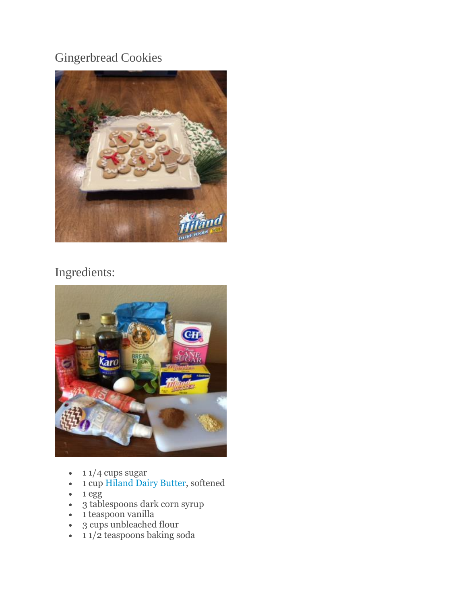## Gingerbread Cookies



## Ingredients:



- $\cdot$  1 1/4 cups sugar
- 1 cup [Hiland Dairy Butter,](http://hilanddairy.com/products/butters/) softened
- 1 egg
- 3 tablespoons dark corn syrup
- 1 teaspoon vanilla
- 3 cups unbleached flour
- 11/2 teaspoons baking soda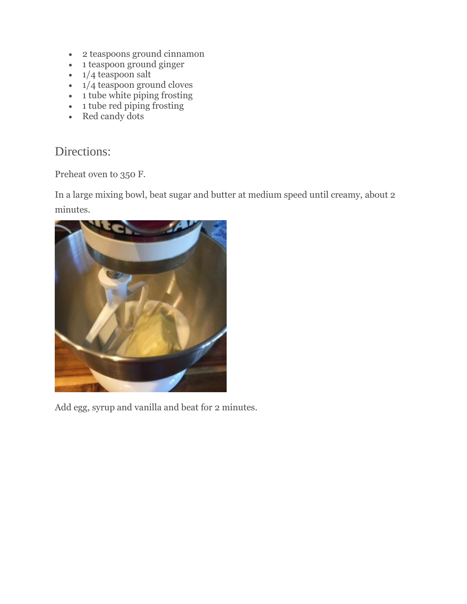- 2 teaspoons ground cinnamon
- 1 teaspoon ground ginger
- $\cdot$  1/4 teaspoon salt
- $\cdot$  1/4 teaspoon ground cloves
- $\cdot$  1 tube white piping frosting
- $\cdot$  1 tube red piping frosting
- Red candy dots

## Directions:

Preheat oven to 350 F.

In a large mixing bowl, beat sugar and butter at medium speed until creamy, about 2 minutes.



Add egg, syrup and vanilla and beat for 2 minutes.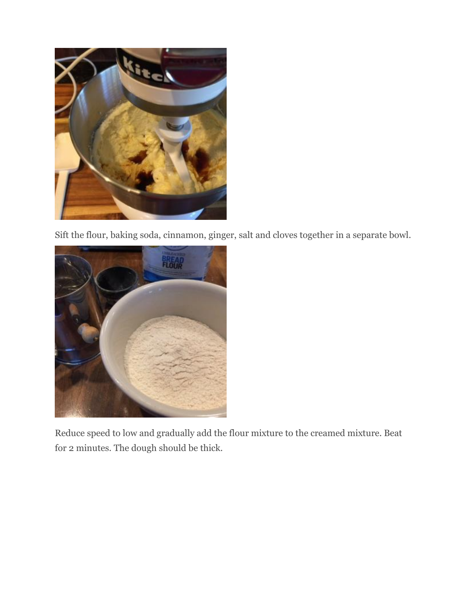

Sift the flour, baking soda, cinnamon, ginger, salt and cloves together in a separate bowl.



Reduce speed to low and gradually add the flour mixture to the creamed mixture. Beat for 2 minutes. The dough should be thick.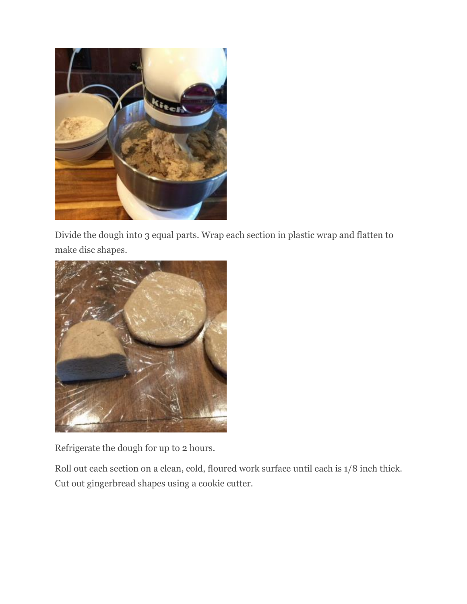

Divide the dough into 3 equal parts. Wrap each section in plastic wrap and flatten to make disc shapes.



Refrigerate the dough for up to 2 hours.

Roll out each section on a clean, cold, floured work surface until each is 1/8 inch thick. Cut out gingerbread shapes using a cookie cutter.